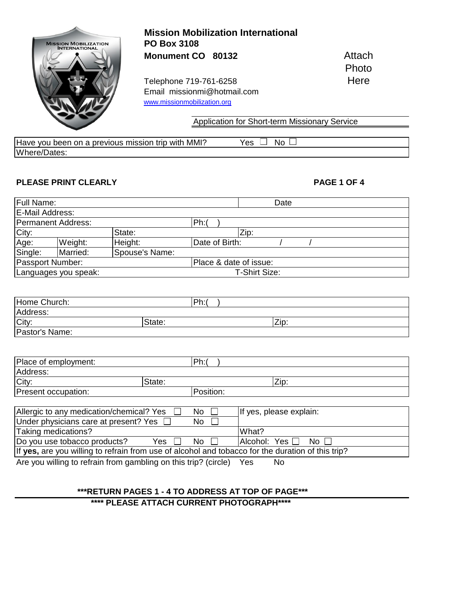

Have you been on a previous mission trip with MMI? Yes  $\Box$  No  $\Box$ Where/Dates:

### **PLEASE PRINT CLEARLY PLEASE PRINT CLEARLY**

| Full Name:      |                      |                | Date                   |
|-----------------|----------------------|----------------|------------------------|
| E-Mail Address: |                      |                |                        |
|                 | Permanent Address:   |                | Ph:                    |
| City:           |                      | State:         | Zip:                   |
| Age:            | Weight:              | Height:        | Date of Birth:         |
| Single:         | Married:             | Spouse's Name: |                        |
|                 | Passport Number:     |                | Place & date of issue: |
|                 | Languages you speak: |                | T-Shirt Size:          |
|                 |                      |                |                        |

| Home Church:   |        | Ph: |      |
|----------------|--------|-----|------|
| Address:       |        |     |      |
| City:          | State: |     | Zip: |
| Pastor's Name: |        |     |      |

| Place of employment: |        | Dh.<br>.  |      |
|----------------------|--------|-----------|------|
| Address:             |        |           |      |
| City:                | State: |           | Zip: |
| Present occupation:  |        | Position: |      |

| Allergic to any medication/chemical? Yes $\Box$<br>No.                                            | If yes, please explain:                  |  |  |  |
|---------------------------------------------------------------------------------------------------|------------------------------------------|--|--|--|
| Under physicians care at present? Yes $\Box$<br>No.                                               |                                          |  |  |  |
| Taking medications?                                                                               | What?                                    |  |  |  |
| Do you use tobacco products?<br>Yes $\Box$<br>$No$ $\Box$                                         | $A$ cohol: Yes $\Box$<br>No <sub>1</sub> |  |  |  |
| If yes, are you willing to refrain from use of alcohol and tobacco for the duration of this trip? |                                          |  |  |  |
| Are you willing to refrain from gambling on this trip? (circle)<br>No<br>Yes                      |                                          |  |  |  |

### **\*\*\*RETURN PAGES 1 - 4 TO ADDRESS AT TOP OF PAGE\*\*\***

 **\*\*\*\* PLEASE ATTACH CURRENT PHOTOGRAPH\*\*\*\***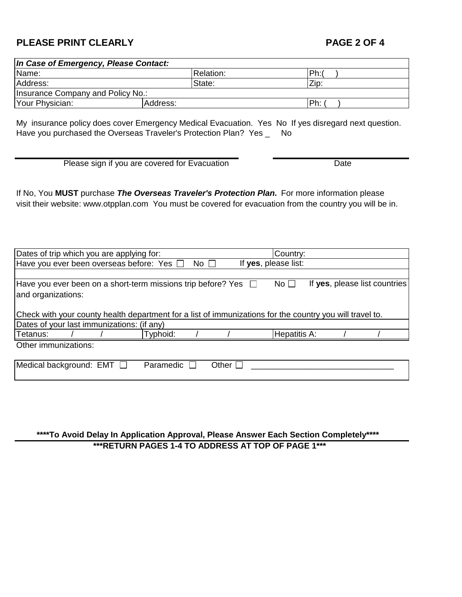## **PLEASE PRINT CLEARLY PLEASE PRINT CLEARLY**

| In Case of Emergency, Please Contact: |           |       |  |  |  |  |
|---------------------------------------|-----------|-------|--|--|--|--|
| Name:                                 | Relation: | lPh:ı |  |  |  |  |
| Address:                              | State:    | Zip:  |  |  |  |  |
| Insurance Company and Policy No.:     |           |       |  |  |  |  |
| Your Physician:                       | Address:  | IPh:  |  |  |  |  |

My insurance policy does cover Emergency Medical Evacuation. Yes No If yes disregard next question. Have you purchased the Overseas Traveler's Protection Plan? Yes \_ No

Please sign if you are covered for Evacuation Date

If No, You **MUST** purchase *The Overseas Traveler's Protection Plan.* For more information please visit their website: www.otpplan.com You must be covered for evacuation from the country you will be in.

| Dates of trip which you are applying for:                                                                |  |           |  |                             |  | Country:            |  |                               |
|----------------------------------------------------------------------------------------------------------|--|-----------|--|-----------------------------|--|---------------------|--|-------------------------------|
| If yes, please list:<br>Have you ever been overseas before: Yes $\Box$<br>No <sub>1</sub>                |  |           |  |                             |  |                     |  |                               |
|                                                                                                          |  |           |  |                             |  |                     |  |                               |
| Have you ever been on a short-term missions trip before? Yes $\Box$                                      |  |           |  |                             |  | No <sub>1</sub>     |  | If yes, please list countries |
| and organizations:                                                                                       |  |           |  |                             |  |                     |  |                               |
|                                                                                                          |  |           |  |                             |  |                     |  |                               |
| Check with your county health department for a list of immunizations for the country you will travel to. |  |           |  |                             |  |                     |  |                               |
| Dates of your last immunizations: (if any)                                                               |  |           |  |                             |  |                     |  |                               |
| Tetanus:                                                                                                 |  | Typhoid:  |  |                             |  | <b>Hepatitis A:</b> |  |                               |
| Other immunizations:                                                                                     |  |           |  |                             |  |                     |  |                               |
|                                                                                                          |  |           |  |                             |  |                     |  |                               |
| Medical background: EMT                                                                                  |  | Paramedic |  | Other $\mathsf{\mathsf{L}}$ |  |                     |  |                               |

 **\*\*\*\*To Avoid Delay In Application Approval, Please Answer Each Section Completely\*\*\*\* \*\*\*RETURN PAGES 1-4 TO ADDRESS AT TOP OF PAGE 1\*\*\***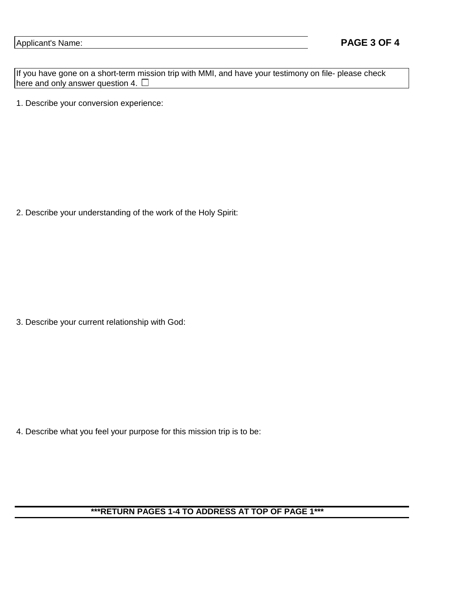If you have gone on a short-term mission trip with MMI, and have your testimony on file- please check here and only answer question 4.  $\square$ 

1. Describe your conversion experience:

2. Describe your understanding of the work of the Holy Spirit:

3. Describe your current relationship with God:

4. Describe what you feel your purpose for this mission trip is to be:

# **\*\*\*RETURN PAGES 1-4 TO ADDRESS AT TOP OF PAGE 1\*\*\***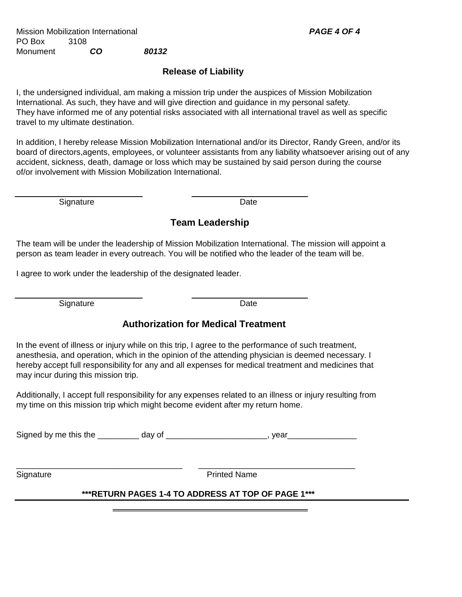Mission Mobilization International *PAGE 4 OF 4* PO Box 3108 Monument *CO 80132*

## **Release of Liability**

I, the undersigned individual, am making a mission trip under the auspices of Mission Mobilization International. As such, they have and will give direction and guidance in my personal safety. They have informed me of any potential risks associated with all international travel as well as specific travel to my ultimate destination.

In addition, I hereby release Mission Mobilization International and/or its Director, Randy Green, and/or its board of directors,agents, employees, or volunteer assistants from any liability whatsoever arising out of any accident, sickness, death, damage or loss which may be sustained by said person during the course of/or involvement with Mission Mobilization International.

Signature Date Date

## **Team Leadership**

The team will be under the leadership of Mission Mobilization International. The mission will appoint a person as team leader in every outreach. You will be notified who the leader of the team will be.

I agree to work under the leadership of the designated leader.

Signature Date Date

## **Authorization for Medical Treatment**

In the event of illness or injury while on this trip, I agree to the performance of such treatment, anesthesia, and operation, which in the opinion of the attending physician is deemed necessary. I hereby accept full responsibility for any and all expenses for medical treatment and medicines that may incur during this mission trip.

Additionally, I accept full responsibility for any expenses related to an illness or injury resulting from my time on this mission trip which might become evident after my return home.

Signed by me this the \_\_\_\_\_\_\_\_\_ day of \_\_\_\_\_\_\_\_\_\_\_\_\_\_\_\_\_\_\_\_\_, year\_\_\_\_\_\_\_\_\_\_\_\_\_\_\_

\_\_\_\_\_\_\_\_\_\_\_\_\_\_\_\_\_\_\_\_\_\_\_\_\_\_\_\_\_\_\_\_\_\_\_\_ \_\_\_\_\_\_\_\_\_\_\_\_\_\_\_\_\_\_\_\_\_\_\_\_\_\_\_\_\_\_\_\_\_\_

Signature **Printed Name** 

## **\*\*\*RETURN PAGES 1-4 TO ADDRESS AT TOP OF PAGE 1\*\*\***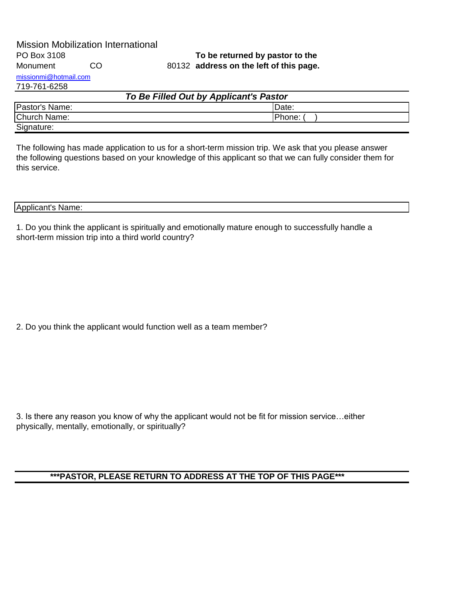|                       | <b>Mission Mobilization International</b> |                                         |
|-----------------------|-------------------------------------------|-----------------------------------------|
| PO Box 3108           |                                           | To be returned by pastor to the         |
| Monument              | CO.                                       | 80132 address on the left of this page. |
| missionmi@hotmail.com |                                           |                                         |

## 719-761-6258

| To Be Filled Out by Applicant's Pastor |               |  |  |
|----------------------------------------|---------------|--|--|
| Pastor's Name:                         | Date:         |  |  |
| <b>Church Name:</b>                    | <b>Phone:</b> |  |  |
| Signature:                             |               |  |  |

The following has made application to us for a short-term mission trip. We ask that you please answer the following questions based on your knowledge of this applicant so that we can fully consider them for this service.

### Applicant's Name:

1. Do you think the applicant is spiritually and emotionally mature enough to successfully handle a short-term mission trip into a third world country?

2. Do you think the applicant would function well as a team member?

3. Is there any reason you know of why the applicant would not be fit for mission service…either physically, mentally, emotionally, or spiritually?

## **\*\*\*PASTOR, PLEASE RETURN TO ADDRESS AT THE TOP OF THIS PAGE\*\*\***